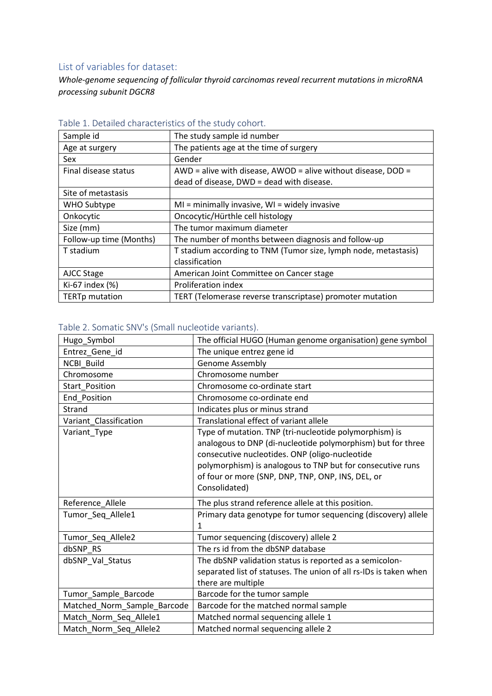## List of variables for dataset:

*Whole-genome sequencing of follicular thyroid carcinomas reveal recurrent mutations in microRNA processing subunit DGCR8*

| apic 1. Detailed characteristics of the stady conort. |                                                                 |
|-------------------------------------------------------|-----------------------------------------------------------------|
| Sample id                                             | The study sample id number                                      |
| Age at surgery                                        | The patients age at the time of surgery                         |
| Sex                                                   | Gender                                                          |
| Final disease status                                  | AWD = alive with disease, AWOD = alive without disease, $DOD =$ |
|                                                       | dead of disease, DWD = dead with disease.                       |
| Site of metastasis                                    |                                                                 |
| WHO Subtype                                           | $MI =$ minimally invasive, $WI =$ widely invasive               |
| Onkocytic                                             | Oncocytic/Hürthle cell histology                                |
| Size (mm)                                             | The tumor maximum diameter                                      |
| Follow-up time (Months)                               | The number of months between diagnosis and follow-up            |
| T stadium                                             | T stadium according to TNM (Tumor size, lymph node, metastasis) |
|                                                       | classification                                                  |
| AJCC Stage                                            | American Joint Committee on Cancer stage                        |
| Ki-67 index (%)                                       | Proliferation index                                             |
| <b>TERTp mutation</b>                                 | TERT (Telomerase reverse transcriptase) promoter mutation       |

### Table 1. Detailed characteristics of the study cohort.

## Table 2. Somatic SNV's (Small nucleotide variants).

| Hugo_Symbol                 | The official HUGO (Human genome organisation) gene symbol                                                                                                                                                                                                                                                   |
|-----------------------------|-------------------------------------------------------------------------------------------------------------------------------------------------------------------------------------------------------------------------------------------------------------------------------------------------------------|
| Entrez_Gene_id              | The unique entrez gene id                                                                                                                                                                                                                                                                                   |
| <b>NCBI Build</b>           | Genome Assembly                                                                                                                                                                                                                                                                                             |
| Chromosome                  | Chromosome number                                                                                                                                                                                                                                                                                           |
| <b>Start Position</b>       | Chromosome co-ordinate start                                                                                                                                                                                                                                                                                |
| End Position                | Chromosome co-ordinate end                                                                                                                                                                                                                                                                                  |
| Strand                      | Indicates plus or minus strand                                                                                                                                                                                                                                                                              |
| Variant Classification      | Translational effect of variant allele                                                                                                                                                                                                                                                                      |
| Variant_Type                | Type of mutation. TNP (tri-nucleotide polymorphism) is<br>analogous to DNP (di-nucleotide polymorphism) but for three<br>consecutive nucleotides. ONP (oligo-nucleotide<br>polymorphism) is analogous to TNP but for consecutive runs<br>of four or more (SNP, DNP, TNP, ONP, INS, DEL, or<br>Consolidated) |
| Reference Allele            | The plus strand reference allele at this position.                                                                                                                                                                                                                                                          |
| Tumor_Seq_Allele1           | Primary data genotype for tumor sequencing (discovery) allele<br>1                                                                                                                                                                                                                                          |
| Tumor_Seq_Allele2           | Tumor sequencing (discovery) allele 2                                                                                                                                                                                                                                                                       |
| dbSNP RS                    | The rs id from the dbSNP database                                                                                                                                                                                                                                                                           |
| dbSNP_Val_Status            | The dbSNP validation status is reported as a semicolon-<br>separated list of statuses. The union of all rs-IDs is taken when<br>there are multiple                                                                                                                                                          |
| Tumor_Sample_Barcode        | Barcode for the tumor sample                                                                                                                                                                                                                                                                                |
| Matched_Norm_Sample_Barcode | Barcode for the matched normal sample                                                                                                                                                                                                                                                                       |
| Match_Norm_Seq_Allele1      | Matched normal sequencing allele 1                                                                                                                                                                                                                                                                          |
| Match_Norm_Seq_Allele2      | Matched normal sequencing allele 2                                                                                                                                                                                                                                                                          |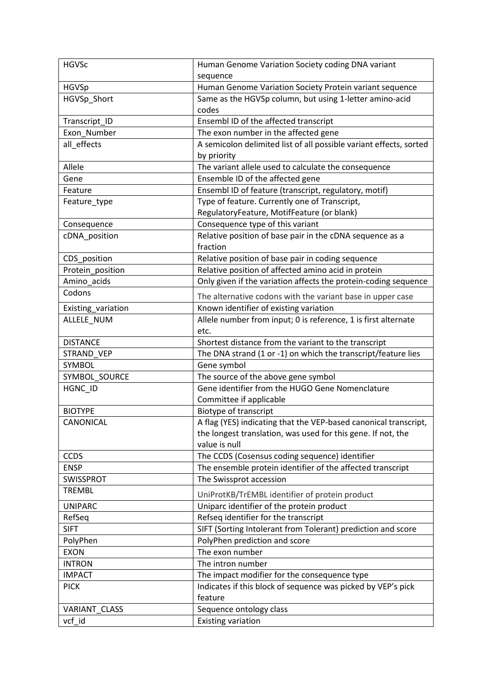| <b>HGVSc</b>       | Human Genome Variation Society coding DNA variant                  |
|--------------------|--------------------------------------------------------------------|
|                    | sequence                                                           |
| <b>HGVSp</b>       | Human Genome Variation Society Protein variant sequence            |
| HGVSp_Short        | Same as the HGVSp column, but using 1-letter amino-acid            |
|                    | codes                                                              |
| Transcript_ID      | Ensembl ID of the affected transcript                              |
| Exon_Number        | The exon number in the affected gene                               |
| all_effects        | A semicolon delimited list of all possible variant effects, sorted |
|                    | by priority                                                        |
| Allele             | The variant allele used to calculate the consequence               |
| Gene               | Ensemble ID of the affected gene                                   |
| Feature            | Ensembl ID of feature (transcript, regulatory, motif)              |
| Feature_type       | Type of feature. Currently one of Transcript,                      |
|                    | RegulatoryFeature, MotifFeature (or blank)                         |
| Consequence        | Consequence type of this variant                                   |
| cDNA_position      | Relative position of base pair in the cDNA sequence as a           |
|                    | fraction                                                           |
| CDS_position       | Relative position of base pair in coding sequence                  |
| Protein_position   | Relative position of affected amino acid in protein                |
| Amino acids        | Only given if the variation affects the protein-coding sequence    |
| Codons             | The alternative codons with the variant base in upper case         |
| Existing_variation | Known identifier of existing variation                             |
| ALLELE_NUM         | Allele number from input; 0 is reference, 1 is first alternate     |
|                    | etc.                                                               |
| <b>DISTANCE</b>    | Shortest distance from the variant to the transcript               |
| STRAND_VEP         | The DNA strand (1 or -1) on which the transcript/feature lies      |
| SYMBOL             | Gene symbol                                                        |
| SYMBOL_SOURCE      | The source of the above gene symbol                                |
| HGNC ID            | Gene identifier from the HUGO Gene Nomenclature                    |
|                    | Committee if applicable                                            |
| <b>BIOTYPE</b>     | Biotype of transcript                                              |
| CANONICAL          | A flag (YES) indicating that the VEP-based canonical transcript,   |
|                    | the longest translation, was used for this gene. If not, the       |
|                    | value is null                                                      |
| <b>CCDS</b>        | The CCDS (Cosensus coding sequence) identifier                     |
| <b>ENSP</b>        | The ensemble protein identifier of the affected transcript         |
| SWISSPROT          | The Swissprot accession                                            |
| <b>TREMBL</b>      | UniProtKB/TrEMBL identifier of protein product                     |
| <b>UNIPARC</b>     | Uniparc identifier of the protein product                          |
| RefSeq             | Refseq identifier for the transcript                               |
| <b>SIFT</b>        | SIFT (Sorting Intolerant from Tolerant) prediction and score       |
| PolyPhen           | PolyPhen prediction and score                                      |
| <b>EXON</b>        | The exon number                                                    |
| <b>INTRON</b>      | The intron number                                                  |
| <b>IMPACT</b>      | The impact modifier for the consequence type                       |
| <b>PICK</b>        | Indicates if this block of sequence was picked by VEP's pick       |
|                    | feature                                                            |
| VARIANT CLASS      | Sequence ontology class                                            |
| vcf id             | <b>Existing variation</b>                                          |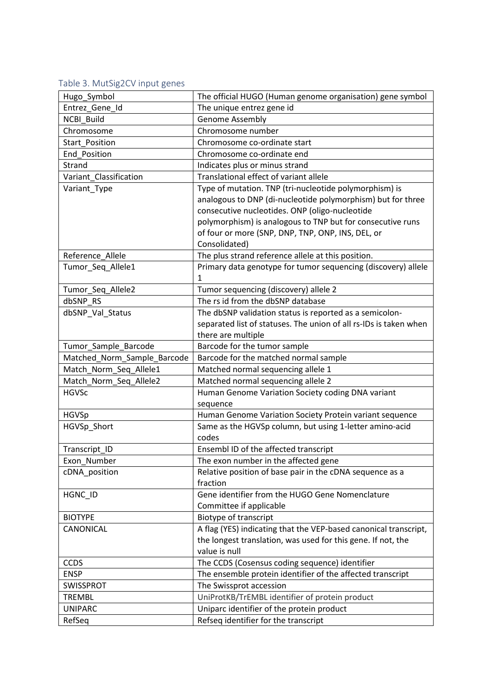# Table 3. MutSig2CV input genes

| Hugo_Symbol                 | The official HUGO (Human genome organisation) gene symbol         |
|-----------------------------|-------------------------------------------------------------------|
| Entrez Gene Id              | The unique entrez gene id                                         |
| NCBI_Build                  | Genome Assembly                                                   |
| Chromosome                  | Chromosome number                                                 |
| Start Position              | Chromosome co-ordinate start                                      |
| End_Position                | Chromosome co-ordinate end                                        |
| Strand                      | Indicates plus or minus strand                                    |
| Variant_Classification      | Translational effect of variant allele                            |
| Variant Type                | Type of mutation. TNP (tri-nucleotide polymorphism) is            |
|                             | analogous to DNP (di-nucleotide polymorphism) but for three       |
|                             | consecutive nucleotides. ONP (oligo-nucleotide                    |
|                             | polymorphism) is analogous to TNP but for consecutive runs        |
|                             | of four or more (SNP, DNP, TNP, ONP, INS, DEL, or                 |
|                             | Consolidated)                                                     |
| Reference Allele            | The plus strand reference allele at this position.                |
| Tumor_Seq_Allele1           | Primary data genotype for tumor sequencing (discovery) allele     |
|                             | 1                                                                 |
| Tumor_Seq_Allele2           | Tumor sequencing (discovery) allele 2                             |
| dbSNP RS                    | The rs id from the dbSNP database                                 |
| dbSNP Val Status            | The dbSNP validation status is reported as a semicolon-           |
|                             | separated list of statuses. The union of all rs-IDs is taken when |
|                             | there are multiple                                                |
| Tumor_Sample_Barcode        | Barcode for the tumor sample                                      |
| Matched_Norm_Sample_Barcode | Barcode for the matched normal sample                             |
| Match_Norm_Seq_Allele1      | Matched normal sequencing allele 1                                |
| Match_Norm_Seq_Allele2      | Matched normal sequencing allele 2                                |
| <b>HGVSc</b>                | Human Genome Variation Society coding DNA variant                 |
|                             | sequence                                                          |
| <b>HGVSp</b>                | Human Genome Variation Society Protein variant sequence           |
| HGVSp_Short                 | Same as the HGVSp column, but using 1-letter amino-acid           |
|                             | codes                                                             |
| Transcript_ID               | Ensembl ID of the affected transcript                             |
| Exon Number                 | The exon number in the affected gene                              |
| cDNA_position               | Relative position of base pair in the cDNA sequence as a          |
|                             | fraction                                                          |
| HGNC_ID                     | Gene identifier from the HUGO Gene Nomenclature                   |
|                             | Committee if applicable                                           |
| <b>BIOTYPE</b>              | Biotype of transcript                                             |
| CANONICAL                   | A flag (YES) indicating that the VEP-based canonical transcript,  |
|                             | the longest translation, was used for this gene. If not, the      |
|                             | value is null                                                     |
| <b>CCDS</b>                 | The CCDS (Cosensus coding sequence) identifier                    |
| <b>ENSP</b>                 | The ensemble protein identifier of the affected transcript        |
| <b>SWISSPROT</b>            | The Swissprot accession                                           |
| <b>TREMBL</b>               | UniProtKB/TrEMBL identifier of protein product                    |
| <b>UNIPARC</b>              | Uniparc identifier of the protein product                         |
| RefSeq                      | Refseq identifier for the transcript                              |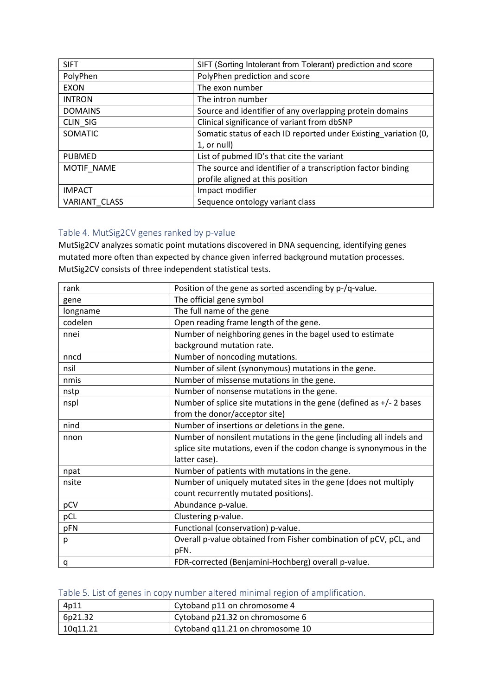| <b>SIFT</b>          | SIFT (Sorting Intolerant from Tolerant) prediction and score    |
|----------------------|-----------------------------------------------------------------|
| PolyPhen             | PolyPhen prediction and score                                   |
| <b>EXON</b>          | The exon number                                                 |
| <b>INTRON</b>        | The intron number                                               |
| <b>DOMAINS</b>       | Source and identifier of any overlapping protein domains        |
| CLIN_SIG             | Clinical significance of variant from dbSNP                     |
| SOMATIC              | Somatic status of each ID reported under Existing variation (0, |
|                      | 1, or null)                                                     |
| <b>PUBMED</b>        | List of pubmed ID's that cite the variant                       |
| MOTIF NAME           | The source and identifier of a transcription factor binding     |
|                      | profile aligned at this position                                |
| <b>IMPACT</b>        | Impact modifier                                                 |
| <b>VARIANT CLASS</b> | Sequence ontology variant class                                 |

#### Table 4. MutSig2CV genes ranked by p-value

MutSig2CV analyzes somatic point mutations discovered in DNA sequencing, identifying genes mutated more often than expected by chance given inferred background mutation processes. MutSig2CV consists of three independent statistical tests.

| rank     | Position of the gene as sorted ascending by p-/q-value.               |
|----------|-----------------------------------------------------------------------|
| gene     | The official gene symbol                                              |
| longname | The full name of the gene                                             |
| codelen  | Open reading frame length of the gene.                                |
| nnei     | Number of neighboring genes in the bagel used to estimate             |
|          | background mutation rate.                                             |
| nncd     | Number of noncoding mutations.                                        |
| nsil     | Number of silent (synonymous) mutations in the gene.                  |
| nmis     | Number of missense mutations in the gene.                             |
| nstp     | Number of nonsense mutations in the gene.                             |
| nspl     | Number of splice site mutations in the gene (defined as $+/- 2$ bases |
|          | from the donor/acceptor site)                                         |
| nind     | Number of insertions or deletions in the gene.                        |
| nnon     | Number of nonsilent mutations in the gene (including all indels and   |
|          | splice site mutations, even if the codon change is synonymous in the  |
|          | latter case).                                                         |
| npat     | Number of patients with mutations in the gene.                        |
| nsite    | Number of uniquely mutated sites in the gene (does not multiply       |
|          | count recurrently mutated positions).                                 |
| pCV      | Abundance p-value.                                                    |
| pCL      | Clustering p-value.                                                   |
| pFN      | Functional (conservation) p-value.                                    |
| р        | Overall p-value obtained from Fisher combination of pCV, pCL, and     |
|          | pFN.                                                                  |
| q        | FDR-corrected (Benjamini-Hochberg) overall p-value.                   |

### Table 5. List of genes in copy number altered minimal region of amplification.

| 4p11     | Cytoband p11 on chromosome 4     |
|----------|----------------------------------|
| 6p21.32  | Cytoband p21.32 on chromosome 6  |
| 10a11.21 | Cytoband q11.21 on chromosome 10 |